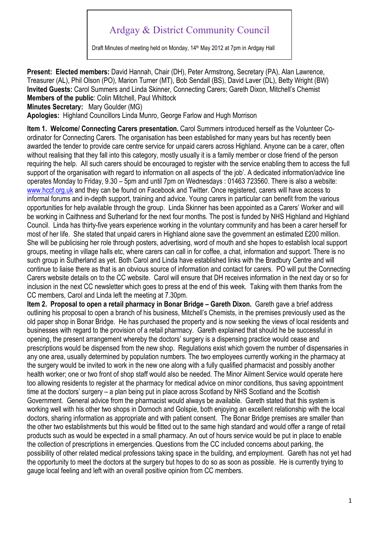## Ardgay & District Community Council

Draft Minutes of meeting held on Monday, 14<sup>th</sup> May 2012 at 7pm in Ardgay Hall

**Present: Elected members:** David Hannah, Chair (DH), Peter Armstrong, Secretary (PA), Alan Lawrence, Treasurer (AL), Phil Olson (PO), Marion Turner (MT), Bob Sendall (BS), David Laver (DL), Betty Wright (BW) **Invited Guests:** Carol Summers and Linda Skinner, Connecting Carers; Gareth Dixon, Mitchell's Chemist **Members of the public**: Colin Mitchell, Paul Whittock

**Minutes Secretary:** Mary Goulder (MG)

**Apologies:** Highland Councillors Linda Munro, George Farlow and Hugh Morrison

**Item 1. Welcome/ Connecting Carers presentation.** Carol Summers introduced herself as the Volunteer Coordinator for Connecting Carers. The organisation has been established for many years but has recently been awarded the tender to provide care centre service for unpaid carers across Highland. Anyone can be a carer, often without realising that they fall into this category, mostly usually it is a family member or close friend of the person requiring the help. All such carers should be encouraged to register with the service enabling them to access the full support of the organisation with regard to information on all aspects of 'the job'. A dedicated information/advice line operates Monday to Friday, 9.30 – 5pm and until 7pm on Wednesdays : 01463 723560. There is also a website: www.hccf.org.uk and they can be found on Facebook and Twitter. Once registered, carers will have access to informal forums and in-depth support, training and advice. Young carers in particular can benefit from the various opportunities for help available through the group. Linda Skinner has been appointed as a Carers' Worker and will be working in Caithness and Sutherland for the next four months. The post is funded by NHS Highland and Highland Council. Linda has thirty-five years experience working in the voluntary community and has been a carer herself for most of her life. She stated that unpaid carers in Highland alone save the government an estimated £200 million. She will be publicising her role through posters, advertising, word of mouth and she hopes to establish local support groups, meeting in village halls etc, where carers can call in for coffee, a chat, information and support. There is no such group in Sutherland as yet. Both Carol and Linda have established links with the Bradbury Centre and will continue to liaise there as that is an obvious source of information and contact for carers. PO will put the Connecting Carers website details on to the CC website. Carol will ensure that DH receives information in the next day or so for inclusion in the next CC newsletter which goes to press at the end of this week. Taking with them thanks from the CC members, Carol and Linda left the meeting at 7.30pm.

**Item 2. Proposal to open a retail pharmacy in Bonar Bridge – Gareth Dixon.** Gareth gave a brief address outlining his proposal to open a branch of his business, Mitchell's Chemists, in the premises previously used as the old paper shop in Bonar Bridge. He has purchased the property and is now seeking the views of local residents and businesses with regard to the provision of a retail pharmacy. Gareth explained that should he be successful in opening, the present arrangement whereby the doctors' surgery is a dispensing practice would cease and prescriptions would be dispensed from the new shop. Regulations exist which govern the number of dispensaries in any one area, usually determined by population numbers. The two employees currently working in the pharmacy at the surgery would be invited to work in the new one along with a fully qualified pharmacist and possibly another health worker; one or two front of shop staff would also be needed. The Minor Ailment Service would operate here too allowing residents to register at the pharmacy for medical advice on minor conditions, thus saving appointment time at the doctors' surgery – a plan being put in place across Scotland by NHS Scotland and the Scottish Government. General advice from the pharmacist would always be available. Gareth stated that this system is working well with his other two shops in Dornoch and Golspie, both enjoying an excellent relationship with the local doctors, sharing information as appropriate and with patient consent. The Bonar Bridge premises are smaller than the other two establishments but this would be fitted out to the same high standard and would offer a range of retail products such as would be expected in a small pharmacy. An out of hours service would be put in place to enable the collection of prescriptions in emergencies. Questions from the CC included concerns about parking, the possibility of other related medical professions taking space in the building, and employment. Gareth has not yet had the opportunity to meet the doctors at the surgery but hopes to do so as soon as possible. He is currently trying to gauge local feeling and left with an overall positive opinion from CC members.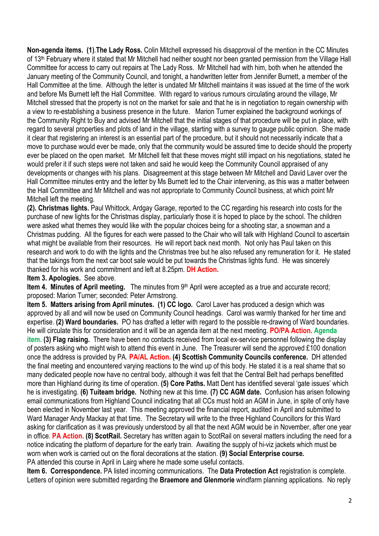**Non-agenda items. (1)**.**The Lady Ross.** Colin Mitchell expressed his disapproval of the mention in the CC Minutes of 13<sup>th</sup> February where it stated that Mr Mitchell had neither sought nor been granted permission from the Village Hall Committee for access to carry out repairs at The Lady Ross. Mr Mitchell had with him, both when he attended the January meeting of the Community Council, and tonight, a handwritten letter from Jennifer Burnett, a member of the Hall Committee at the time. Although the letter is undated Mr Mitchell maintains it was issued at the time of the work and before Ms Burnett left the Hall Committee. With regard to various rumours circulating around the village, Mr Mitchell stressed that the property is not on the market for sale and that he is in negotiation to regain ownership with a view to re-establishing a business presence in the future. Marion Turner explained the background workings of the Community Right to Buy and advised Mr Mitchell that the initial stages of that procedure will be put in place, with regard to several properties and plots of land in the village, starting with a survey to gauge public opinion. She made it clear that registering an interest is an essential part of the procedure, but it should not necessarily indicate that a move to purchase would ever be made, only that the community would be assured time to decide should the property ever be placed on the open market. Mr Mitchell felt that these moves might still impact on his negotiations, stated he would prefer it if such steps were not taken and said he would keep the Community Council appraised of any developments or changes with his plans. Disagreement at this stage between Mr Mitchell and David Laver over the Hall Committee minutes entry and the letter by Ms Burnett led to the Chair intervening, as this was a matter between the Hall Committee and Mr Mitchell and was not appropriate to Community Council business, at which point Mr Mitchell left the meeting.

**(2). Christmas lights.** Paul Whittock, Ardgay Garage, reported to the CC regarding his research into costs for the purchase of new lights for the Christmas display, particularly those it is hoped to place by the school. The children were asked what themes they would like with the popular choices being for a shooting star, a snowman and a Christmas pudding. All the figures for each were passed to the Chair who will talk with Highland Council to ascertain what might be available from their resources. He will report back next month. Not only has Paul taken on this research and work to do with the lights and the Christmas tree but he also refused any remuneration for it. He stated that the takings from the next car boot sale would be put towards the Christmas lights fund. He was sincerely thanked for his work and commitment and left at 8.25pm. **DH Action.** 

**Item 3. Apologies.** See above.

**Item 4. Minutes of April meeting.** The minutes from 9th April were accepted as a true and accurate record; proposed: Marion Turner; seconded: Peter Armstrong.

**Item 5. Matters arising from April minutes. (1) CC logo.** Carol Laver has produced a design which was approved by all and will now be used on Community Council headings. Carol was warmly thanked for her time and expertise. **(2) Ward boundaries.** PO has drafted a letter with regard to the possible re-drawing of Ward boundaries. He will circulate this for consideration and it will be an agenda item at the next meeting. **PO/PA Action. Agenda item. (3) Flag raising.** There have been no contacts received from local ex-service personnel following the display of posters asking who might wish to attend this event in June. The Treasurer will send the approved £100 donation once the address is provided by PA. **PA/AL Action. (4) Scottish Community Councils conference.** DH attended the final meeting and encountered varying reactions to the wind up of this body. He stated it is a real shame that so many dedicated people now have no central body, although it was felt that the Central Belt had perhaps benefitted more than Highland during its time of operation. **(5) Core Paths.** Matt Dent has identified several 'gate issues' which he is investigating. **(6) Tuiteam bridge.** Nothing new at this time. **(7) CC AGM date.** Confusion has arisen following email communications from Highland Council indicating that all CCs must hold an AGM in June, in spite of only have been elected in November last year. This meeting approved the financial report, audited in April and submitted to Ward Manager Andy Mackay at that time. The Secretary will write to the three Highland Councillors for this Ward asking for clarification as it was previously understood by all that the next AGM would be in November, after one year in office. **PA Action. (8) ScotRail.** Secretary has written again to ScotRail on several matters including the need for a notice indicating the platform of departure for the early train. Awaiting the supply of hi-viz jackets which must be worn when work is carried out on the floral decorations at the station. **(9) Social Enterprise course.**  PA attended this course in April in Lairg where he made some useful contacts.

**Item 6. Correspondence.** PA listed incoming communications. The **Data Protection Act** registration is complete. Letters of opinion were submitted regarding the **Braemore and Glenmorie** windfarm planning applications. No reply